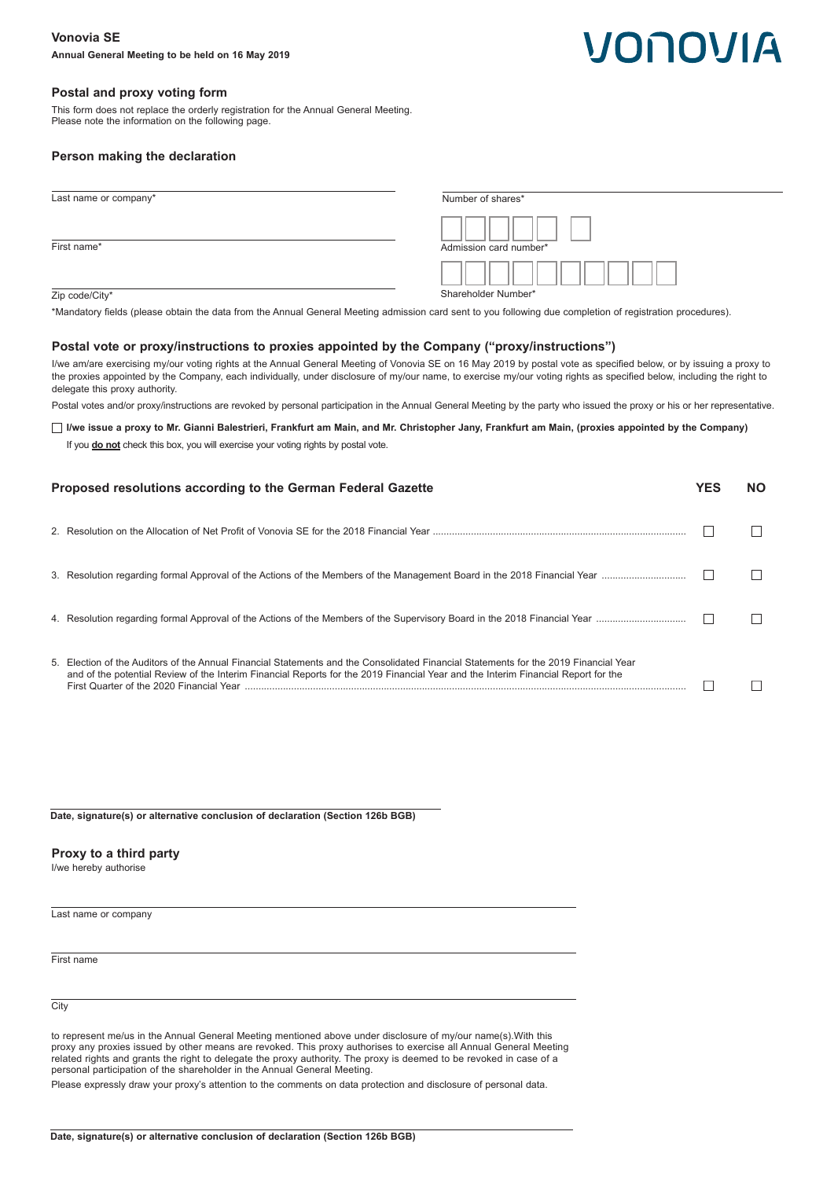# VONOVIA

# **Postal and proxy voting form**

This form does not replace the orderly registration for the Annual General Meeting. Please note the information on the following page.

# **Person making the declaration**

| Last name or company* | Number of shares*      |
|-----------------------|------------------------|
| First name*           | Admission card number* |
|                       | Shareholder Number*    |
| Zip code/City*        |                        |

\*Mandatory fields (please obtain the data from the Annual General Meeting admission card sent to you following due completion of registration procedures).

# **Postal vote or proxy/instructions to proxies appointed by the Company ("proxy/instructions")**

I/we am/are exercising my/our voting rights at the Annual General Meeting of Vonovia SE on 16 May 2019 by postal vote as specified below, or by issuing a proxy to the proxies appointed by the Company, each individually, under disclosure of my/our name, to exercise my/our voting rights as specified below, including the right to delegate this proxy authority.

Postal votes and/or proxy/instructions are revoked by personal participation in the Annual General Meeting by the party who issued the proxy or his or her representative.

**I/we issue a proxy to Mr. Gianni Balestrieri, Frankfurt am Main, and Mr. Christopher Jany, Frankfurt am Main, (proxies appointed by the Company)** 

If you **do not** check this box, you will exercise your voting rights by postal vote.

| Proposed resolutions according to the German Federal Gazette |                                                                                                                                                                                                                                                                                                                       | NΟ |
|--------------------------------------------------------------|-----------------------------------------------------------------------------------------------------------------------------------------------------------------------------------------------------------------------------------------------------------------------------------------------------------------------|----|
|                                                              |                                                                                                                                                                                                                                                                                                                       |    |
|                                                              |                                                                                                                                                                                                                                                                                                                       |    |
|                                                              |                                                                                                                                                                                                                                                                                                                       |    |
|                                                              | 5. Election of the Auditors of the Annual Financial Statements and the Consolidated Financial Statements for the 2019 Financial Year<br>and of the potential Review of the Interim Financial Reports for the 2019 Financial Year and the Interim Financial Report for the<br>First Quarter of the 2020 Financial Year |    |

**Date, signature(s) or alternative conclusion of declaration (Section 126b BGB)**

## **Proxy to a third party**

I/we hereby authorise

Last name or company

First name

**City** 

to represent me/us in the Annual General Meeting mentioned above under disclosure of my/our name(s).With this proxy any proxies issued by other means are revoked. This proxy authorises to exercise all Annual General Meeting related rights and grants the right to delegate the proxy authority. The proxy is deemed to be revoked in case of a personal participation of the shareholder in the Annual General Meeting.

Please expressly draw your proxy's attention to the comments on data protection and disclosure of personal data.